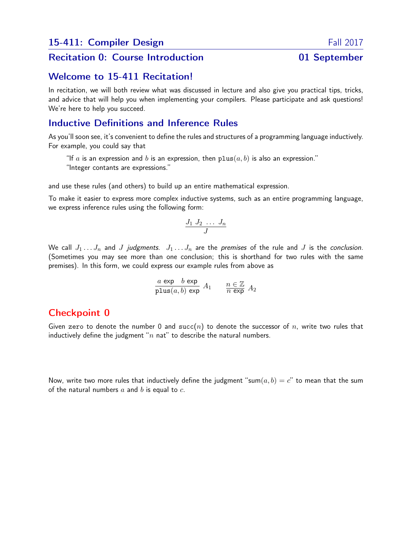#### Recitation 0: Course Introduction **01 September**

#### Welcome to 15-411 Recitation!

In recitation, we will both review what was discussed in lecture and also give you practical tips, tricks, and advice that will help you when implementing your compilers. Please participate and ask questions! We're here to help you succeed.

## Inductive Definitions and Inference Rules

As you'll soon see, it's convenient to define the rules and structures of a programming language inductively. For example, you could say that

"If a is an expression and b is an expression, then  $plus(a, b)$  is also an expression." "Integer contants are expressions."

and use these rules (and others) to build up an entire mathematical expression.

To make it easier to express more complex inductive systems, such as an entire programming language, we express inference rules using the following form:

$$
\frac{J_1 \, J_2 \, \ldots \, J_n}{J}
$$

We call  $J_1 \ldots J_n$  and J judgments.  $J_1 \ldots J_n$  are the premises of the rule and J is the conclusion. (Sometimes you may see more than one conclusion; this is shorthand for two rules with the same premises). In this form, we could express our example rules from above as

$$
\frac{a\,\exp\,b\,\exp}{\text{plus}(a,b)\,\exp}\,A_1\qquad \frac{n\in\mathbb{Z}}{n\,\exp}\,A_2
$$

## Checkpoint 0

Given zero to denote the number 0 and succ(n) to denote the successor of n, write two rules that inductively define the judgment " $n$  nat" to describe the natural numbers.

Now, write two more rules that inductively define the judgment "sum $(a, b) = c$ " to mean that the sum of the natural numbers  $a$  and  $b$  is equal to  $c$ .